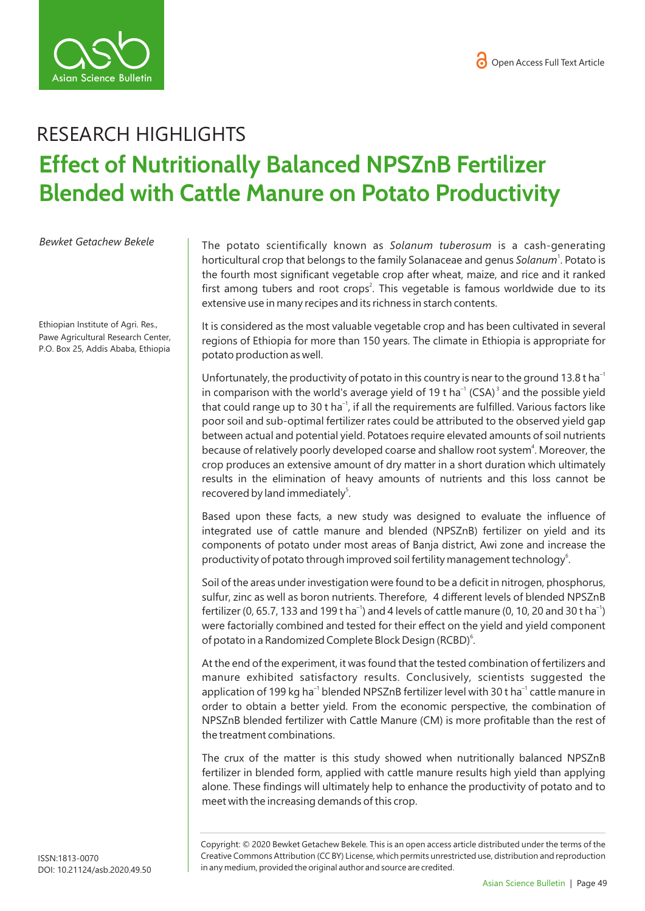

## RESEARCH HIGHLIGHTS **Effect of Nutritionally Balanced NPSZnB Fertilizer Blended with Cattle Manure on Potato Productivity**

*Bewket Getachew Bekele* 

Ethiopian Institute of Agri. Res., Pawe Agricultural Research Center, P.O. Box 25, Addis Ababa, Ethiopia

The potato scientifically known as *Solanum tuberosum* is a cash-generating horticultural crop that belongs to the family Solanaceae and genus Solanum<sup>1</sup>. Potato is the fourth most significant vegetable crop after wheat, maize, and rice and it ranked first among tubers and root crops<sup>2</sup>. This vegetable is famous worldwide due to its extensive use in many recipes and its richness in starch contents.

It is considered as the most valuable vegetable crop and has been cultivated in several regions of Ethiopia for more than 150 years. The climate in Ethiopia is appropriate for potato production as well.

Unfortunately, the productivity of potato in this country is near to the ground 13.8 t ha<sup>-1</sup> in comparison with the world's average yield of 19 t ha<sup>-1</sup> (CSA)<sup>3</sup> and the possible yield that could range up to 30 t ha<sup>-1</sup>, if all the requirements are fulfilled. Various factors like poor soil and sub-optimal fertilizer rates could be attributed to the observed yield gap between actual and potential yield. Potatoes require elevated amounts of soil nutrients because of relatively poorly developed coarse and shallow root system<sup>4</sup>. Moreover, the crop produces an extensive amount of dry matter in a short duration which ultimately results in the elimination of heavy amounts of nutrients and this loss cannot be recovered by land immediately<sup>5</sup>.

Based upon these facts, a new study was designed to evaluate the influence of integrated use of cattle manure and blended (NPSZnB) fertilizer on yield and its components of potato under most areas of Banja district, Awi zone and increase the productivity of potato through improved soil fertility management technology<sup>6</sup>.

Soil of the areas under investigation were found to be a deficit in nitrogen, phosphorus, sulfur, zinc as well as boron nutrients. Therefore, 4 different levels of blended NPSZnB fertilizer (0, 65.7, 133 and 199 t ha<sup>-1</sup>) and 4 levels of cattle manure (0, 10, 20 and 30 t ha<sup>-1</sup>) were factorially combined and tested for their effect on the yield and yield component of potato in a Randomized Complete Block Design (RCBD)<sup>6</sup>.

At the end of the experiment, it was found that the tested combination of fertilizers and manure exhibited satisfactory results. Conclusively, scientists suggested the application of 199 kg ha<sup>-1</sup> blended NPSZnB fertilizer level with 30 t ha<sup>-1</sup> cattle manure in order to obtain a better yield. From the economic perspective, the combination of NPSZnB blended fertilizer with Cattle Manure (CM) is more profitable than the rest of the treatment combinations.

The crux of the matter is this study showed when nutritionally balanced NPSZnB fertilizer in blended form, applied with cattle manure results high yield than applying alone. These findings will ultimately help to enhance the productivity of potato and to meet with the increasing demands of this crop.

Copyright: © 2020 Bewket Getachew Bekele*.* This is an open access article distributed under the terms of the Creative Commons Attribution (CC BY) License, which permits unrestricted use, distribution and reproduction in any medium, provided the original author and source are credited.